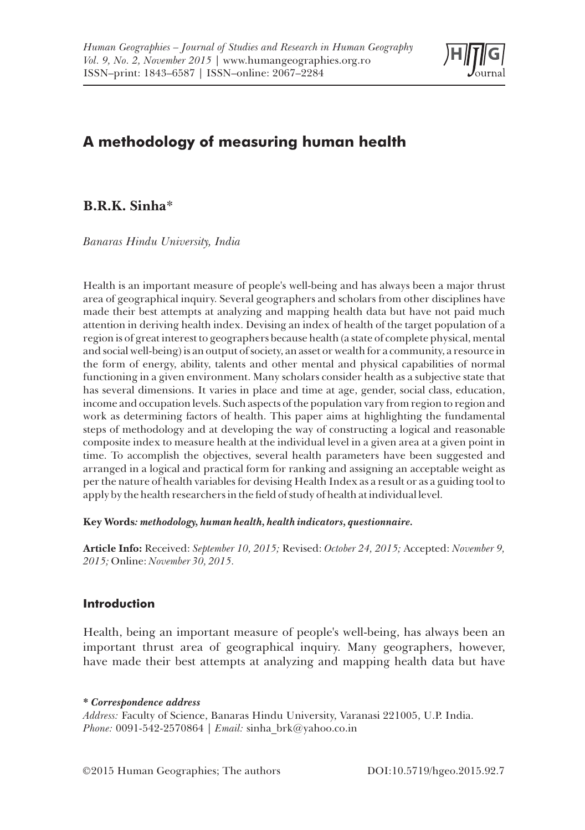

# **A methodology of measuring human health**

# **B.R.K. Sinha**\*

*Banaras Hindu University, India*

Health is an important measure of people's well-being and has always been a major thrust area of geographical inquiry. Several geographers and scholars from other disciplines have made their best attempts at analyzing and mapping health data but have not paid much attention in deriving health index. Devising an index of health of the target population of a region is of great interest to geographers because health (a state of complete physical, mental and social well-being) is an output of society, an asset or wealth for a community, a resource in the form of energy, ability, talents and other mental and physical capabilities of normal functioning in a given environment. Many scholars consider health as a subjective state that has several dimensions. It varies in place and time at age, gender, social class, education, income and occupation levels. Such aspects of the population vary from region to region and work as determining factors of health. This paper aims at highlighting the fundamental steps of methodology and at developing the way of constructing a logical and reasonable composite index to measure health at the individual level in a given area at a given point in time. To accomplish the objectives, several health parameters have been suggested and arranged in a logical and practical form for ranking and assigning an acceptable weight as per the nature of health variables for devising Health Index as a result or as a guiding tool to apply by the health researchers in the field of study of health at individual level.

**Key Words***: methodology, human health, health indicators, questionnaire.*

**Article Info:** Received: *September 10, 2015;* Revised: *October 24, 2015;* Accepted: *November 9, 2015;* Online: *November 30, 2015.*

# **Introduction**

Health, being an important measure of people's well-being, has always been an important thrust area of geographical inquiry. Many geographers, however, have made their best attempts at analyzing and mapping health data but have

*\* Correspondence address*

*Address:* Faculty of Science, Banaras Hindu University, Varanasi 221005, U.P. India. *Phone:* 0091-542-2570864 *| Email:* sinha\_brk@yahoo.co.in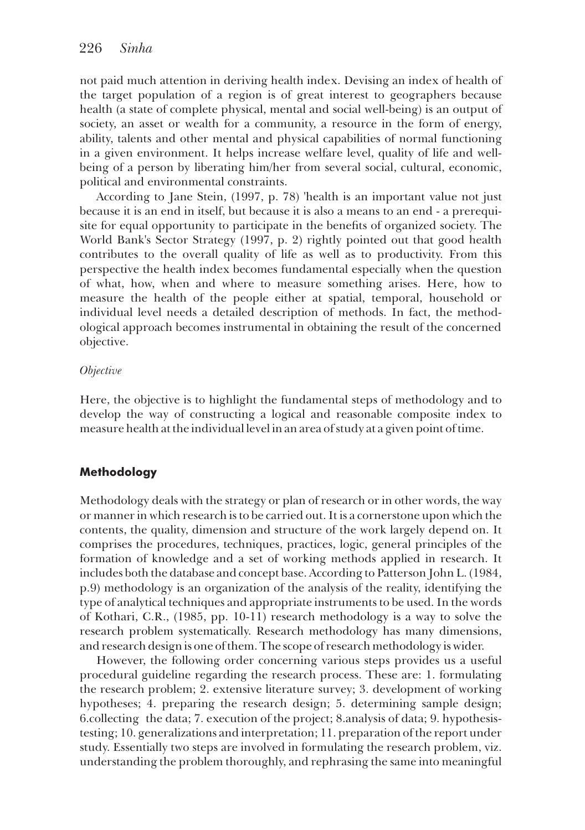not paid much attention in deriving health index. Devising an index of health of the target population of a region is of great interest to geographers because health (a state of complete physical, mental and social well-being) is an output of society, an asset or wealth for a community, a resource in the form of energy, ability, talents and other mental and physical capabilities of normal functioning in a given environment. It helps increase welfare level, quality of life and wellbeing of a person by liberating him/her from several social, cultural, economic, political and environmental constraints.

According to Jane Stein, (1997, p. 78) 'health is an important value not just because it is an end in itself, but because it is also a means to an end - a prerequisite for equal opportunity to participate in the benefits of organized society. The World Bank's Sector Strategy (1997, p. 2) rightly pointed out that good health contributes to the overall quality of life as well as to productivity. From this perspective the health index becomes fundamental especially when the question of what, how, when and where to measure something arises. Here, how to measure the health of the people either at spatial, temporal, household or individual level needs a detailed description of methods. In fact, the methodological approach becomes instrumental in obtaining the result of the concerned objective.

#### *Objective*

Here, the objective is to highlight the fundamental steps of methodology and to develop the way of constructing a logical and reasonable composite index to measure health at the individual level in an area of study at a given point of time.

# **Methodology**

Methodology deals with the strategy or plan of research or in other words, the way or manner in which research is to be carried out. It is a cornerstone upon which the contents, the quality, dimension and structure of the work largely depend on. It comprises the procedures, techniques, practices, logic, general principles of the formation of knowledge and a set of working methods applied in research. It includes both the database and concept base. According to Patterson John L. (1984, p.9) methodology is an organization of the analysis of the reality, identifying the type of analytical techniques and appropriate instruments to be used. In the words of Kothari, C.R., (1985, pp. 10-11) research methodology is a way to solve the research problem systematically. Research methodology has many dimensions, and research design is one of them. The scope of research methodology is wider.

However, the following order concerning various steps provides us a useful procedural guideline regarding the research process. These are: 1. formulating the research problem; 2. extensive literature survey; 3. development of working hypotheses; 4. preparing the research design; 5. determining sample design; 6.collecting the data; 7. execution of the project; 8.analysis of data; 9. hypothesistesting; 10. generalizations and interpretation; 11. preparation of the report under study. Essentially two steps are involved in formulating the research problem, viz. understanding the problem thoroughly, and rephrasing the same into meaningful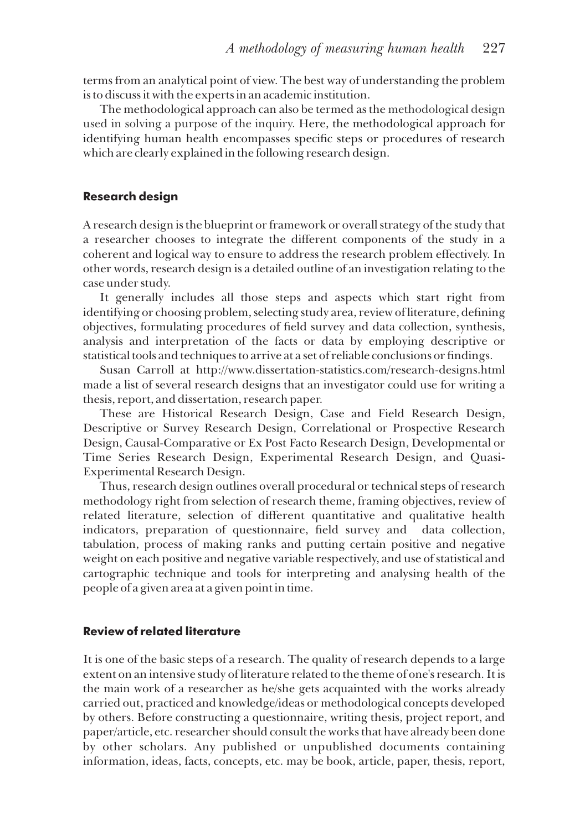terms from an analytical point of view. The best way of understanding the problem is to discuss it with the experts in an academic institution.

The methodological approach can also be termed as the methodological design used in solving a purpose of the inquiry. Here, the methodological approach for identifying human health encompasses specific steps or procedures of research which are clearly explained in the following research design.

# **Research design**

A research design is the blueprint or framework or overall strategy of the study that a researcher chooses to integrate the different components of the study in a coherent and logical way to ensure to address the research problem effectively. In other words, research design is a detailed outline of an investigation relating to the case under study.

It generally includes all those steps and aspects which start right from identifying or choosing problem, selecting study area, review of literature, defining objectives, formulating procedures of eld survey and data collection, synthesis, analysis and interpretation of the facts or data by employing descriptive or statistical tools and techniques to arrive at a set of reliable conclusions or findings.

Susan Carroll at http://www.dissertation-statistics.com/research-designs.html made a list of several research designs that an investigator could use for writing a thesis, report, and dissertation, research paper.

These are Historical Research Design, Case and Field Research Design, Descriptive or Survey Research Design, Correlational or Prospective Research Design, Causal-Comparative or Ex Post Facto Research Design, Developmental or Time Series Research Design, Experimental Research Design, and Quasi-Experimental Research Design.

Thus, research design outlines overall procedural or technical steps of research methodology right from selection of research theme, framing objectives, review of related literature, selection of different quantitative and qualitative health indicators, preparation of questionnaire, field survey and data collection, tabulation, process of making ranks and putting certain positive and negative weight on each positive and negative variable respectively, and use of statistical and cartographic technique and tools for interpreting and analysing health of the people of a given area at a given point in time.

# **Review of related literature**

It is one of the basic steps of a research. The quality of research depends to a large extent on an intensive study of literature related to the theme of one's research. It is the main work of a researcher as he/she gets acquainted with the works already carried out, practiced and knowledge/ideas or methodological concepts developed by others. Before constructing a questionnaire, writing thesis, project report, and paper/article, etc. researcher should consult the works that have already been done by other scholars. Any published or unpublished documents containing information, ideas, facts, concepts, etc. may be book, article, paper, thesis, report,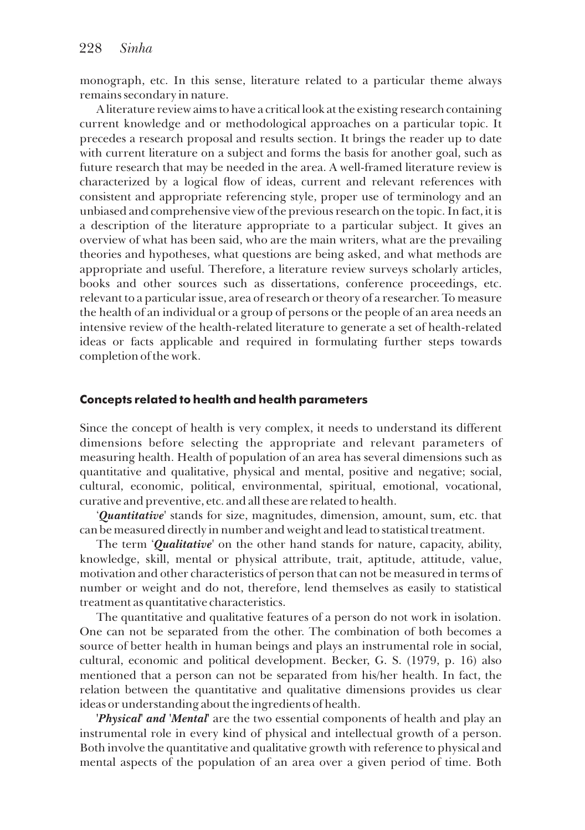monograph, etc. In this sense, literature related to a particular theme always remains secondary in nature.

A literature review aims to have a critical look at the existing research containing current knowledge and or methodological approaches on a particular topic. It precedes a research proposal and results section. It brings the reader up to date with current literature on a subject and forms the basis for another goal, such as future research that may be needed in the area. A well-framed literature review is characterized by a logical flow of ideas, current and relevant references with consistent and appropriate referencing style, proper use of terminology and an unbiased and comprehensive view of the previous research on the topic. In fact, it is a description of the literature appropriate to a particular subject. It gives an overview of what has been said, who are the main writers, what are the prevailing theories and hypotheses, what questions are being asked, and what methods are appropriate and useful. Therefore, a literature review surveys scholarly articles, books and other sources such as dissertations, conference proceedings, etc. relevant to a particular issue, area of research or theory of a researcher. To measure the health of an individual or a group of persons or the people of an area needs an intensive review of the health-related literature to generate a set of health-related ideas or facts applicable and required in formulating further steps towards completion of the work.

### **Concepts related to health and health parameters**

Since the concept of health is very complex, it needs to understand its different dimensions before selecting the appropriate and relevant parameters of measuring health. Health of population of an area has several dimensions such as quantitative and qualitative, physical and mental, positive and negative; social, cultural, economic, political, environmental, spiritual, emotional, vocational, curative and preventive, etc. and all these are related to health.

'*Quantitative'* stands for size, magnitudes, dimension, amount, sum, etc. that can be measured directly in number and weight and lead to statistical treatment.

The term '*Qualitative*' on the other hand stands for nature, capacity, ability, knowledge, skill, mental or physical attribute, trait, aptitude, attitude, value, motivation and other characteristics of person that can not be measured in terms of number or weight and do not, therefore, lend themselves as easily to statistical treatment as quantitative characteristics.

The quantitative and qualitative features of a person do not work in isolation. One can not be separated from the other. The combination of both becomes a source of better health in human beings and plays an instrumental role in social, cultural, economic and political development. Becker, G. S. (1979, p. 16) also mentioned that a person can not be separated from his/her health. In fact, the relation between the quantitative and qualitative dimensions provides us clear ideas or understanding about the ingredients of health.

*'Physical' and 'Mental'* are the two essential components of health and play an instrumental role in every kind of physical and intellectual growth of a person. Both involve the quantitative and qualitative growth with reference to physical and mental aspects of the population of an area over a given period of time. Both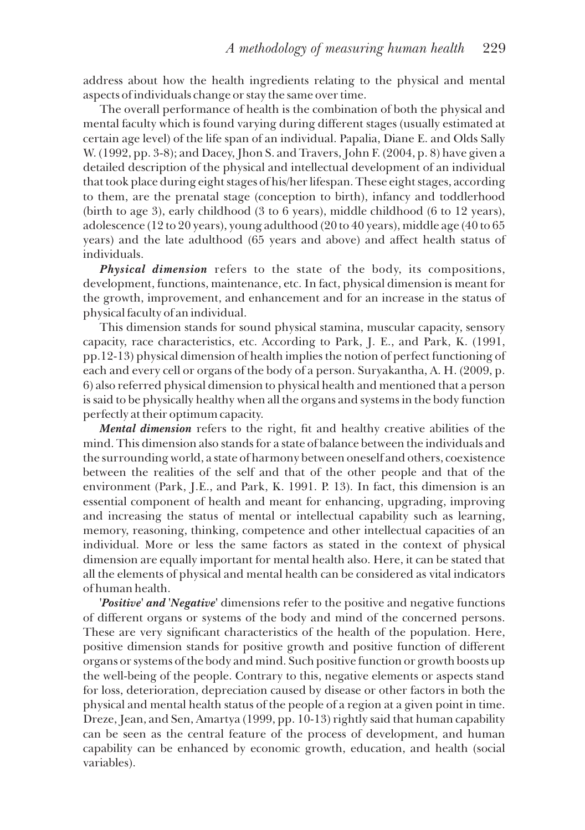address about how the health ingredients relating to the physical and mental aspects of individuals change or stay the same over time.

The overall performance of health is the combination of both the physical and mental faculty which is found varying during different stages (usually estimated at certain age level) of the life span of an individual. Papalia, Diane E. and Olds Sally W. (1992, pp. 3-8); and Dacey, Jhon S. and Travers, John F. (2004, p. 8) have given a detailed description of the physical and intellectual development of an individual that took place during eight stages of his/her lifespan. These eight stages, according to them, are the prenatal stage (conception to birth), infancy and toddlerhood (birth to age 3), early childhood (3 to 6 years), middle childhood (6 to 12 years), adolescence (12 to 20 years), young adulthood (20 to 40 years), middle age (40 to 65 years) and the late adulthood (65 years and above) and affect health status of individuals.

*Physical dimension* refers to the state of the body, its compositions, development, functions, maintenance, etc. In fact, physical dimension is meant for the growth, improvement, and enhancement and for an increase in the status of physical faculty of an individual.

This dimension stands for sound physical stamina, muscular capacity, sensory capacity, race characteristics, etc. According to Park, J. E., and Park, K. (1991, pp.12-13) physical dimension of health implies the notion of perfect functioning of each and every cell or organs of the body of a person. Suryakantha, A. H. (2009, p. 6) also referred physical dimension to physical health and mentioned that a person is said to be physically healthy when all the organs and systems in the body function perfectly at their optimum capacity.

*Mental dimension* refers to the right, fit and healthy creative abilities of the mind. This dimension also stands for a state of balance between the individuals and the surrounding world, a state of harmony between oneself and others, coexistence between the realities of the self and that of the other people and that of the environment (Park, J.E., and Park, K. 1991. P. 13). In fact, this dimension is an essential component of health and meant for enhancing, upgrading, improving and increasing the status of mental or intellectual capability such as learning, memory, reasoning, thinking, competence and other intellectual capacities of an individual. More or less the same factors as stated in the context of physical dimension are equally important for mental health also. Here, it can be stated that all the elements of physical and mental health can be considered as vital indicators of human health.

**'***Positive' and 'Negative'* dimensions refer to the positive and negative functions of different organs or systems of the body and mind of the concerned persons. These are very significant characteristics of the health of the population. Here, positive dimension stands for positive growth and positive function of different organs or systems of the body and mind. Such positive function or growth boosts up the well-being of the people. Contrary to this, negative elements or aspects stand for loss, deterioration, depreciation caused by disease or other factors in both the physical and mental health status of the people of a region at a given point in time. Dreze, Jean, and Sen, Amartya (1999, pp. 10-13) rightly said that human capability can be seen as the central feature of the process of development, and human capability can be enhanced by economic growth, education, and health (social variables).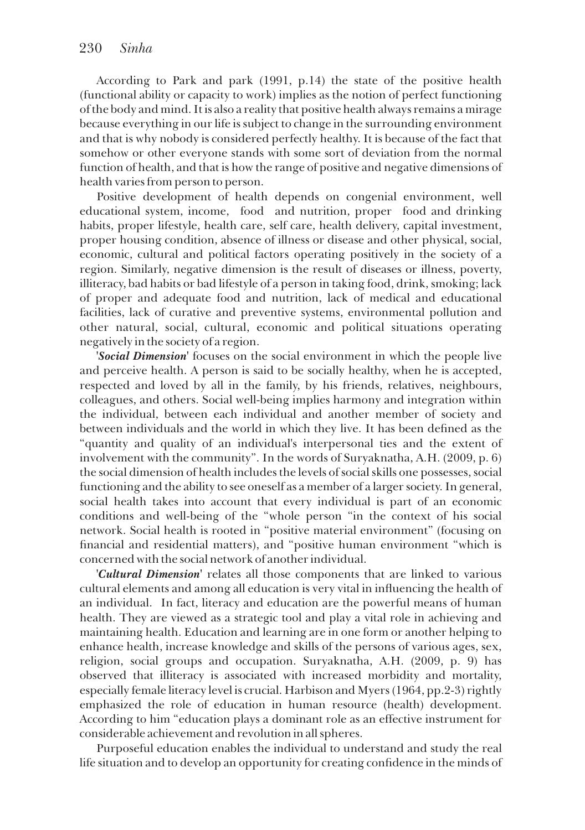According to Park and park (1991, p.14) the state of the positive health (functional ability or capacity to work) implies as the notion of perfect functioning of the body and mind. It is also a reality that positive health always remains a mirage because everything in our life is subject to change in the surrounding environment and that is why nobody is considered perfectly healthy. It is because of the fact that somehow or other everyone stands with some sort of deviation from the normal function of health, and that is how the range of positive and negative dimensions of health varies from person to person.

Positive development of health depends on congenial environment, well educational system, income, food and nutrition, proper food and drinking habits, proper lifestyle, health care, self care, health delivery, capital investment, proper housing condition, absence of illness or disease and other physical, social, economic, cultural and political factors operating positively in the society of a region. Similarly, negative dimension is the result of diseases or illness, poverty, illiteracy, bad habits or bad lifestyle of a person in taking food, drink, smoking; lack of proper and adequate food and nutrition, lack of medical and educational facilities, lack of curative and preventive systems, environmental pollution and other natural, social, cultural, economic and political situations operating negatively in the society of a region.

*'Social Dimension'* focuses on the social environment in which the people live and perceive health. A person is said to be socially healthy, when he is accepted, respected and loved by all in the family, by his friends, relatives, neighbours, colleagues, and others. Social well-being implies harmony and integration within the individual, between each individual and another member of society and between individuals and the world in which they live. It has been defined as the "quantity and quality of an individual's interpersonal ties and the extent of involvement with the community". In the words of Suryaknatha, A.H. (2009, p. 6) the social dimension of health includes the levels of social skills one possesses, social functioning and the ability to see oneself as a member of a larger society. In general, social health takes into account that every individual is part of an economic conditions and well-being of the "whole person "in the context of his social network. Social health is rooted in "positive material environment" (focusing on nancial and residential matters), and "positive human environment "which is concerned with the social network of another individual.

*'Cultural Dimension'* relates all those components that are linked to various cultural elements and among all education is very vital in influencing the health of an individual. In fact, literacy and education are the powerful means of human health. They are viewed as a strategic tool and play a vital role in achieving and maintaining health. Education and learning are in one form or another helping to enhance health, increase knowledge and skills of the persons of various ages, sex, religion, social groups and occupation. Suryaknatha, A.H. (2009, p. 9) has observed that illiteracy is associated with increased morbidity and mortality, especially female literacy level is crucial. Harbison and Myers (1964, pp.2-3) rightly emphasized the role of education in human resource (health) development. According to him "education plays a dominant role as an effective instrument for considerable achievement and revolution in all spheres.

Purposeful education enables the individual to understand and study the real life situation and to develop an opportunity for creating condence in the minds of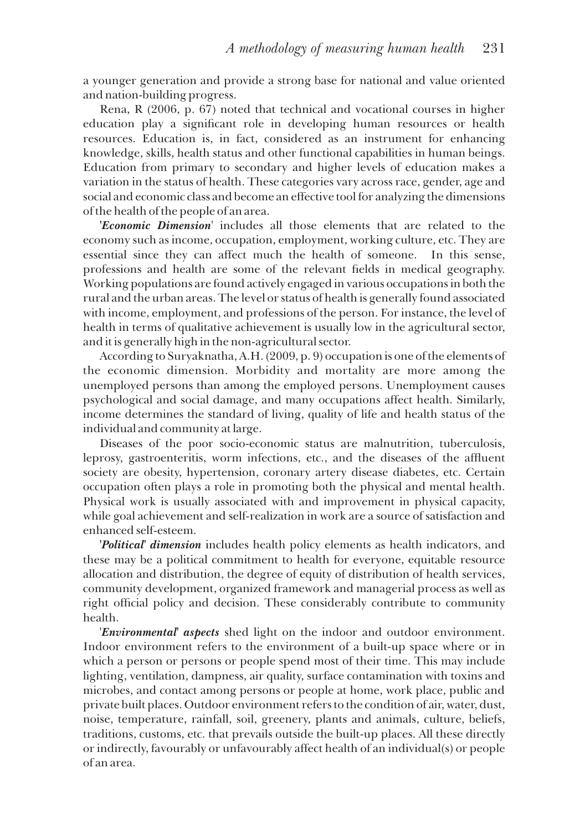a younger generation and provide a strong base for national and value oriented and nation-building progress.

Rena, R (2006, p. 67) noted that technical and vocational courses in higher education play a signicant role in developing human resources or health resources. Education is, in fact, considered as an instrument for enhancing knowledge, skills, health status and other functional capabilities in human beings. Education from primary to secondary and higher levels of education makes a variation in the status of health. These categories vary across race, gender, age and social and economic class and become an effective tool for analyzing the dimensions of the health of the people of an area.

*'Economic Dimension'* includes all those elements that are related to the economy such as income, occupation, employment, working culture, etc. They are essential since they can affect much the health of someone. In this sense, professions and health are some of the relevant fields in medical geography. Working populations are found actively engaged in various occupations in both the rural and the urban areas. The level or status of health is generally found associated with income, employment, and professions of the person. For instance, the level of health in terms of qualitative achievement is usually low in the agricultural sector, and it is generally high in the non-agricultural sector.

According to Suryaknatha, A.H. (2009, p. 9) occupation is one of the elements of the economic dimension. Morbidity and mortality are more among the unemployed persons than among the employed persons. Unemployment causes psychological and social damage, and many occupations affect health. Similarly, income determines the standard of living, quality of life and health status of the individual and community at large.

Diseases of the poor socio-economic status are malnutrition, tuberculosis, leprosy, gastroenteritis, worm infections, etc., and the diseases of the affluent society are obesity, hypertension, coronary artery disease diabetes, etc. Certain occupation often plays a role in promoting both the physical and mental health. Physical work is usually associated with and improvement in physical capacity, while goal achievement and self-realization in work are a source of satisfaction and enhanced self-esteem.

*'Political' dimension* includes health policy elements as health indicators, and these may be a political commitment to health for everyone, equitable resource allocation and distribution, the degree of equity of distribution of health services, community development, organized framework and managerial process as well as right official policy and decision. These considerably contribute to community health.

'*Environmental' aspects* shed light on the indoor and outdoor environment. Indoor environment refers to the environment of a built-up space where or in which a person or persons or people spend most of their time. This may include lighting, ventilation, dampness, air quality, surface contamination with toxins and microbes, and contact among persons or people at home, work place, public and private built places. Outdoor environment refers to the condition of air, water, dust, noise, temperature, rainfall, soil, greenery, plants and animals, culture, beliefs, traditions, customs, etc. that prevails outside the built-up places. All these directly or indirectly, favourably or unfavourably affect health of an individual(s) or people of an area.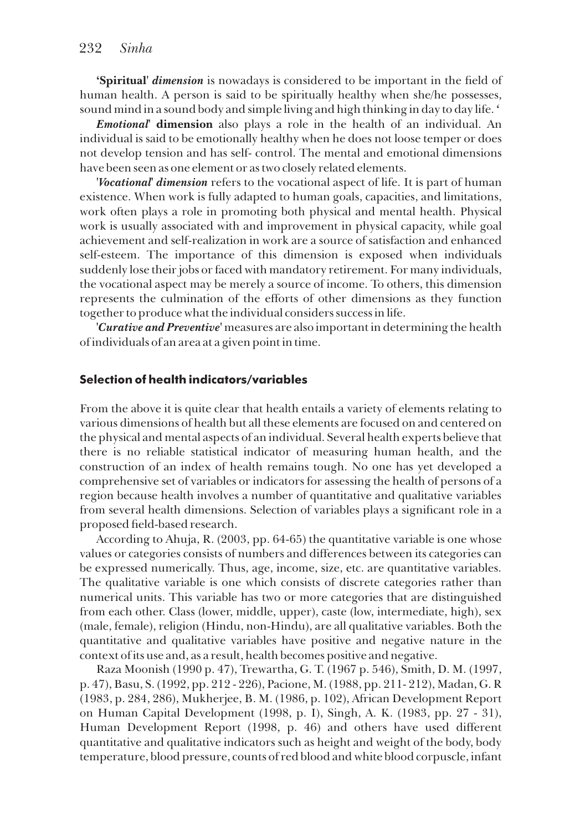**'Spiritual'** *dimension* is nowadays is considered to be important in the field of human health. A person is said to be spiritually healthy when she/he possesses, sound mind in a sound body and simple living and high thinking in day to day life. *'*

*Emotional'* **dimension** also plays a role in the health of an individual. An individual is said to be emotionally healthy when he does not loose temper or does not develop tension and has self- control. The mental and emotional dimensions have been seen as one element or as two closely related elements.

**'***Vocational' dimension* refers to the vocational aspect of life. It is part of human existence. When work is fully adapted to human goals, capacities, and limitations, work often plays a role in promoting both physical and mental health. Physical work is usually associated with and improvement in physical capacity, while goal achievement and self-realization in work are a source of satisfaction and enhanced self-esteem. The importance of this dimension is exposed when individuals suddenly lose their jobs or faced with mandatory retirement. For many individuals, the vocational aspect may be merely a source of income. To others, this dimension represents the culmination of the efforts of other dimensions as they function together to produce what the individual considers success in life.

*'Curative and Preventive'* measures are also important in determining the health of individuals of an area at a given point in time.

#### **Selection of health indicators/variables**

From the above it is quite clear that health entails a variety of elements relating to various dimensions of health but all these elements are focused on and centered on the physical and mental aspects of an individual. Several health experts believe that there is no reliable statistical indicator of measuring human health, and the construction of an index of health remains tough. No one has yet developed a comprehensive set of variables or indicators for assessing the health of persons of a region because health involves a number of quantitative and qualitative variables from several health dimensions. Selection of variables plays a signicant role in a proposed field-based research.

According to Ahuja, R. (2003, pp. 64-65) the quantitative variable is one whose values or categories consists of numbers and differences between its categories can be expressed numerically. Thus, age, income, size, etc. are quantitative variables. The qualitative variable is one which consists of discrete categories rather than numerical units. This variable has two or more categories that are distinguished from each other. Class (lower, middle, upper), caste (low, intermediate, high), sex (male, female), religion (Hindu, non-Hindu), are all qualitative variables. Both the quantitative and qualitative variables have positive and negative nature in the context of its use and, as a result, health becomes positive and negative.

Raza Moonish (1990 p. 47), Trewartha, G. T. (1967 p. 546), Smith, D. M. (1997, p. 47), Basu, S. (1992, pp. 212 - 226), Pacione, M. (1988, pp. 211- 212), Madan, G. R (1983, p. 284, 286), Mukherjee, B. M. (1986, p. 102), African Development Report on Human Capital Development (1998, p. I), Singh, A. K. (1983, pp. 27 - 31), Human Development Report (1998, p. 46) and others have used different quantitative and qualitative indicators such as height and weight of the body, body temperature, blood pressure, counts of red blood and white blood corpuscle, infant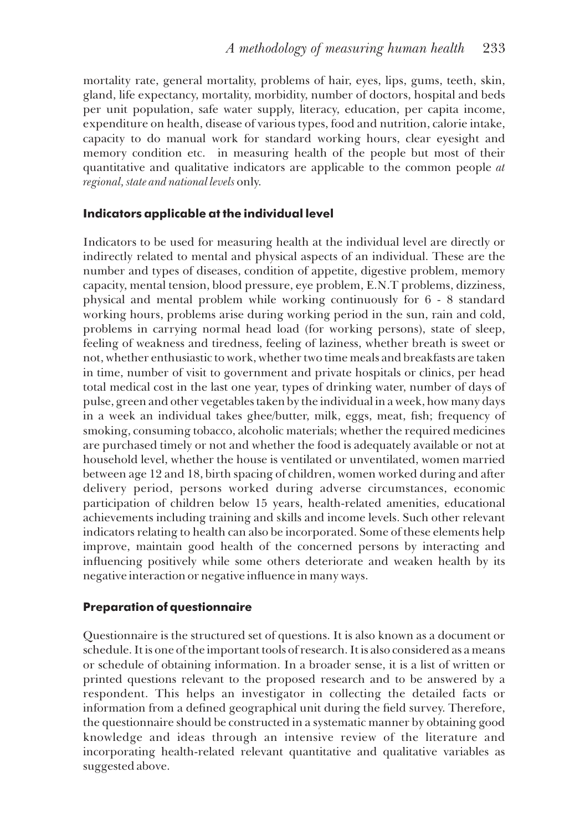mortality rate, general mortality, problems of hair, eyes, lips, gums, teeth, skin, gland, life expectancy, mortality, morbidity, number of doctors, hospital and beds per unit population, safe water supply, literacy, education, per capita income, expenditure on health, disease of various types, food and nutrition, calorie intake, capacity to do manual work for standard working hours, clear eyesight and memory condition etc. in measuring health of the people but most of their quantitative and qualitative indicators are applicable to the common people *at regional, state and national levels* only.

### **Indicators applicable at the individual level**

Indicators to be used for measuring health at the individual level are directly or indirectly related to mental and physical aspects of an individual. These are the number and types of diseases, condition of appetite, digestive problem, memory capacity, mental tension, blood pressure, eye problem, E.N.T problems, dizziness, physical and mental problem while working continuously for 6 - 8 standard working hours, problems arise during working period in the sun, rain and cold, problems in carrying normal head load (for working persons), state of sleep, feeling of weakness and tiredness, feeling of laziness, whether breath is sweet or not, whether enthusiastic to work, whether two time meals and breakfasts are taken in time, number of visit to government and private hospitals or clinics, per head total medical cost in the last one year, types of drinking water, number of days of pulse, green and other vegetables taken by the individual in a week, how many days in a week an individual takes ghee/butter, milk, eggs, meat, fish; frequency of smoking, consuming tobacco, alcoholic materials; whether the required medicines are purchased timely or not and whether the food is adequately available or not at household level, whether the house is ventilated or unventilated, women married between age 12 and 18, birth spacing of children, women worked during and after delivery period, persons worked during adverse circumstances, economic participation of children below 15 years, health-related amenities, educational achievements including training and skills and income levels. Such other relevant indicators relating to health can also be incorporated. Some of these elements help improve, maintain good health of the concerned persons by interacting and influencing positively while some others deteriorate and weaken health by its negative interaction or negative influence in many ways.

# **Preparation of questionnaire**

Questionnaire is the structured set of questions. It is also known as a document or schedule. It is one of the important tools of research. It is also considered as a means or schedule of obtaining information. In a broader sense, it is a list of written or printed questions relevant to the proposed research and to be answered by a respondent. This helps an investigator in collecting the detailed facts or information from a defined geographical unit during the field survey. Therefore, the questionnaire should be constructed in a systematic manner by obtaining good knowledge and ideas through an intensive review of the literature and incorporating health-related relevant quantitative and qualitative variables as suggested above.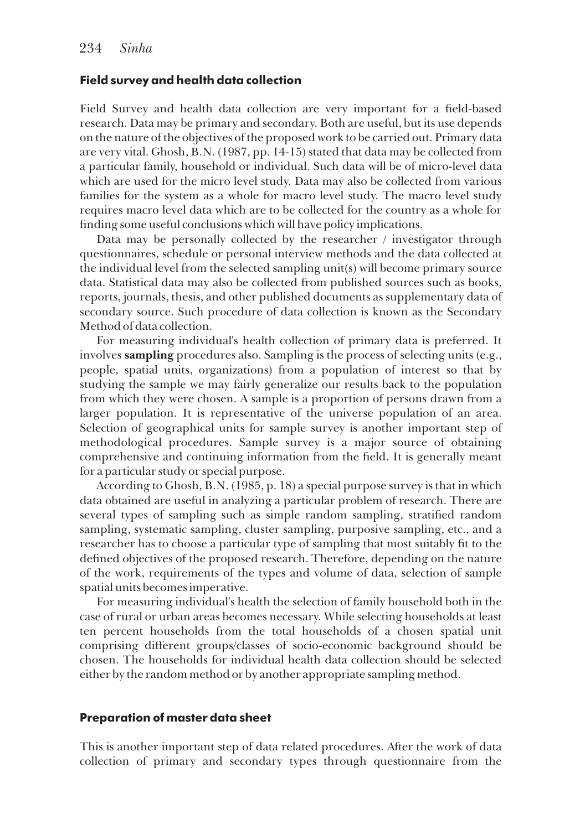#### **Field survey and health data collection**

Field Survey and health data collection are very important for a field-based research. Data may be primary and secondary. Both are useful, but its use depends on the nature of the objectives of the proposed work to be carried out. Primary data are very vital. Ghosh, B.N. (1987, pp. 14-15) stated that data may be collected from a particular family, household or individual. Such data will be of micro-level data which are used for the micro level study. Data may also be collected from various families for the system as a whole for macro level study. The macro level study requires macro level data which are to be collected for the country as a whole for nding some useful conclusions which will have policy implications.

Data may be personally collected by the researcher / investigator through questionnaires, schedule or personal interview methods and the data collected at the individual level from the selected sampling unit(s) will become primary source data. Statistical data may also be collected from published sources such as books, reports, journals, thesis, and other published documents as supplementary data of secondary source. Such procedure of data collection is known as the Secondary Method of data collection.

For measuring individual's health collection of primary data is preferred. It involves **sampling** procedures also. Sampling is the process of selecting units (e.g., people, spatial units, organizations) from a population of interest so that by studying the sample we may fairly generalize our results back to the population from which they were chosen. A sample is a proportion of persons drawn from a larger population. It is representative of the universe population of an area. Selection of geographical units for sample survey is another important step of methodological procedures. Sample survey is a major source of obtaining comprehensive and continuing information from the field. It is generally meant for a particular study or special purpose.

According to Ghosh, B.N. (1985, p. 18) a special purpose survey is that in which data obtained are useful in analyzing a particular problem of research. There are several types of sampling such as simple random sampling, stratied random sampling, systematic sampling, cluster sampling, purposive sampling, etc., and a researcher has to choose a particular type of sampling that most suitably fit to the defined objectives of the proposed research. Therefore, depending on the nature of the work, requirements of the types and volume of data, selection of sample spatial units becomes imperative.

For measuring individual's health the selection of family household both in the case of rural or urban areas becomes necessary. While selecting households at least ten percent households from the total households of a chosen spatial unit comprising different groups/classes of socio-economic background should be chosen. The households for individual health data collection should be selected either by the random method or by another appropriate sampling method.

#### **Preparation of master data sheet**

This is another important step of data related procedures. After the work of data collection of primary and secondary types through questionnaire from the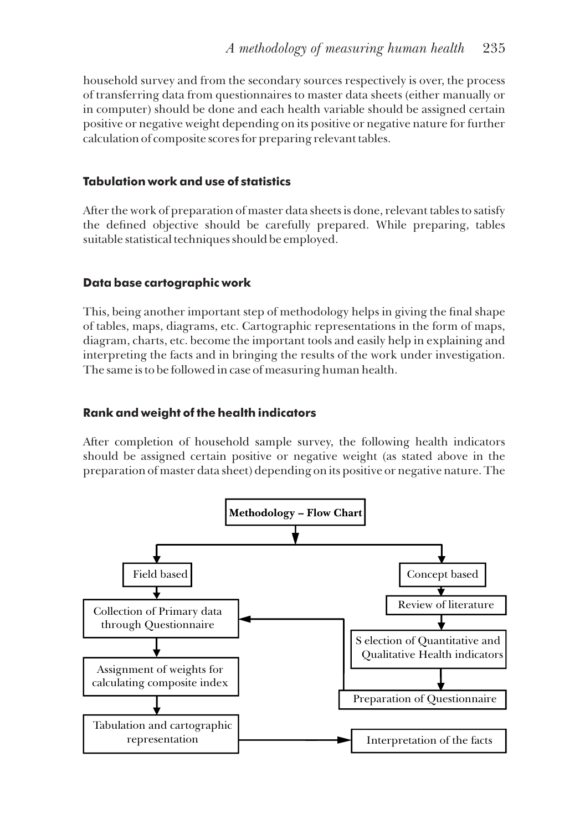household survey and from the secondary sources respectively is over, the process of transferring data from questionnaires to master data sheets (either manually or in computer) should be done and each health variable should be assigned certain positive or negative weight depending on its positive or negative nature for further calculation of composite scores for preparing relevant tables.

# **Tabulation work and use of statistics**

After the work of preparation of master data sheets is done, relevant tables to satisfy the defined objective should be carefully prepared. While preparing, tables suitable statistical techniques should be employed.

# **Data base cartographic work**

This, being another important step of methodology helps in giving the final shape of tables, maps, diagrams, etc. Cartographic representations in the form of maps, diagram, charts, etc. become the important tools and easily help in explaining and interpreting the facts and in bringing the results of the work under investigation. The same is to be followed in case of measuring human health.

# **Rank and weight of the health indicators**

After completion of household sample survey, the following health indicators should be assigned certain positive or negative weight (as stated above in the preparation of master data sheet) depending on its positive or negative nature. The

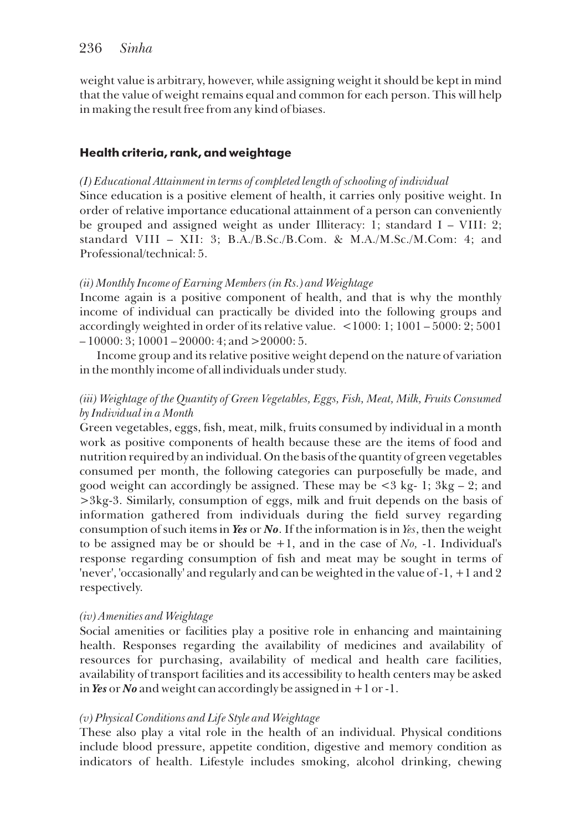weight value is arbitrary, however, while assigning weight it should be kept in mind that the value of weight remains equal and common for each person. This will help in making the result free from any kind of biases.

# **Health criteria, rank, and weightage**

# *(I) Educational Attainment in terms of completed length of schooling of individual*

Since education is a positive element of health, it carries only positive weight. In order of relative importance educational attainment of a person can conveniently be grouped and assigned weight as under Illiteracy: 1; standard I – VIII: 2; standard VIII – XII: 3; B.A./B.Sc./B.Com. & M.A./M.Sc./M.Com: 4; and Professional/technical: 5.

# *(ii) Monthly Income of Earning Members (in Rs.) and Weightage*

Income again is a positive component of health, and that is why the monthly income of individual can practically be divided into the following groups and accordingly weighted in order of its relative value. <1000: 1; 1001 – 5000: 2; 5001  $-10000:3$ ; 10001 – 20000: 4; and > 20000: 5.

Income group and its relative positive weight depend on the nature of variation in the monthly income of all individuals under study.

# *(iii) Weightage of the Quantity of Green Vegetables, Eggs, Fish, Meat, Milk, Fruits Consumed by Individual in a Month*

Green vegetables, eggs, fish, meat, milk, fruits consumed by individual in a month work as positive components of health because these are the items of food and nutrition required by an individual. On the basis of the quantity of green vegetables consumed per month, the following categories can purposefully be made, and good weight can accordingly be assigned. These may be  $\lt 3$  kg- 1;  $3kg - 2$ ; and >3kg-3. Similarly, consumption of eggs, milk and fruit depends on the basis of information gathered from individuals during the field survey regarding consumption of such items in *Yes* or *No*. If the information is in *Yes*, then the weight to be assigned may be or should be +1, and in the case of *No,* -1. Individual's response regarding consumption of fish and meat may be sought in terms of 'never', 'occasionally' and regularly and can be weighted in the value of -1, +1 and 2 respectively.

# *(iv) Amenities and Weightage*

Social amenities or facilities play a positive role in enhancing and maintaining health. Responses regarding the availability of medicines and availability of resources for purchasing, availability of medical and health care facilities, availability of transport facilities and its accessibility to health centers may be asked in *Yes* or *No* and weight can accordingly be assigned in +1 or -1.

# *(v) Physical Conditions and Life Style and Weightage*

These also play a vital role in the health of an individual. Physical conditions include blood pressure, appetite condition, digestive and memory condition as indicators of health. Lifestyle includes smoking, alcohol drinking, chewing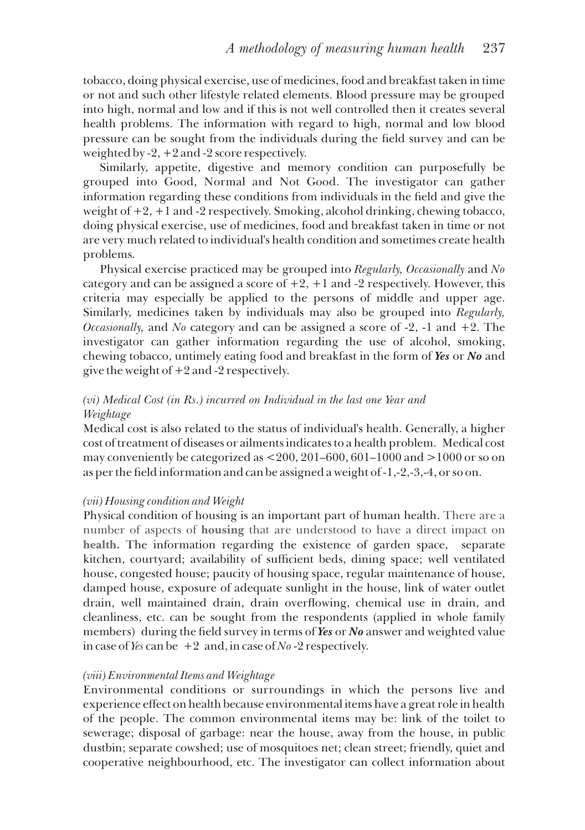tobacco, doing physical exercise, use of medicines, food and breakfast taken in time or not and such other lifestyle related elements. Blood pressure may be grouped into high, normal and low and if this is not well controlled then it creates several health problems. The information with regard to high, normal and low blood pressure can be sought from the individuals during the eld survey and can be weighted by -2, +2 and -2 score respectively.

Similarly, appetite, digestive and memory condition can purposefully be grouped into Good, Normal and Not Good. The investigator can gather information regarding these conditions from individuals in the field and give the weight of +2, +1 and -2 respectively. Smoking, alcohol drinking, chewing tobacco, doing physical exercise, use of medicines, food and breakfast taken in time or not are very much related to individual's health condition and sometimes create health problems.

Physical exercise practiced may be grouped into *Regularly, Occasionally* and *No*  category and can be assigned a score of  $+2$ ,  $+1$  and  $-2$  respectively. However, this criteria may especially be applied to the persons of middle and upper age. Similarly, medicines taken by individuals may also be grouped into *Regularly, Occasionally,* and *No* category and can be assigned a score of -2, -1 and +2. The investigator can gather information regarding the use of alcohol, smoking, chewing tobacco, untimely eating food and breakfast in the form of *Yes* or *No* and give the weight of +2 and -2 respectively.

# *(vi) Medical Cost (in Rs.) incurred on Individual in the last one Year and Weightage*

Medical cost is also related to the status of individual's health. Generally, a higher cost of treatment of diseases or ailments indicates to a health problem. Medical cost may conveniently be categorized as  $\leq 200$ ,  $201-600$ ,  $601-1000$  and  $>1000$  or so on as per the field information and can be assigned a weight of  $-1, -2, -3, -4$ , or so on.

# *(vii) Housing condition and Weight*

Physical condition of housing is an important part of human health. There are a number of aspects of **housing** that are understood to have a direct impact on **health.** The information regarding the existence of garden space, separate kitchen, courtyard; availability of sufficient beds, dining space; well ventilated house, congested house; paucity of housing space, regular maintenance of house, damped house, exposure of adequate sunlight in the house, link of water outlet drain, well maintained drain, drain overflowing, chemical use in drain, and cleanliness, etc. can be sought from the respondents (applied in whole family members) during the field survey in terms of Yes or No answer and weighted value in case of *Yes* can be  $+2$  and, in case of *No* -2 respectively.

# *(viii) Environmental Items and Weightage*

Environmental conditions or surroundings in which the persons live and experience effect on health because environmental items have a great role in health of the people. The common environmental items may be: link of the toilet to sewerage; disposal of garbage: near the house, away from the house, in public dustbin; separate cowshed; use of mosquitoes net; clean street; friendly, quiet and cooperative neighbourhood, etc. The investigator can collect information about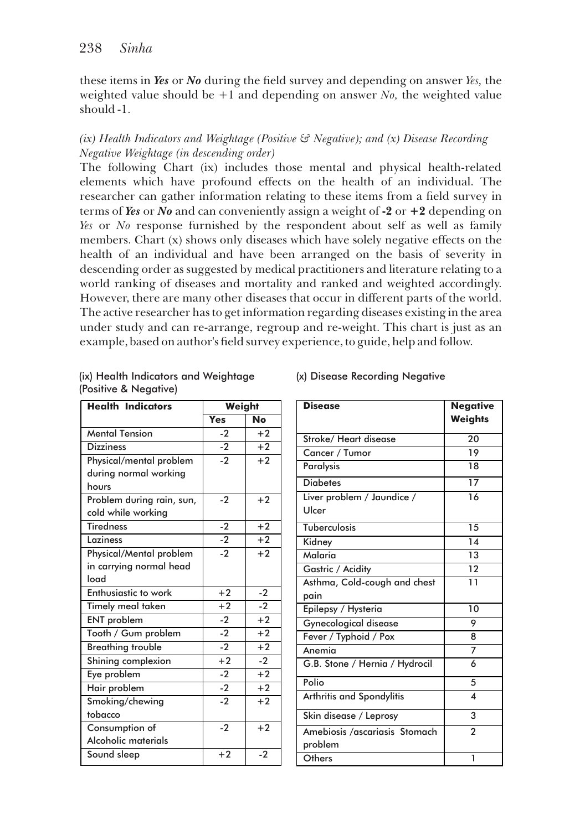these items in *Yes* or *No* during the eld survey and depending on answer *Yes,* the weighted value should be  $+1$  and depending on answer *No*, the weighted value should -1.

# *(ix) Health Indicators and Weightage (Positive & Negative); and (x) Disease Recording Negative Weightage (in descending order)*

The following Chart (ix) includes those mental and physical health-related elements which have profound effects on the health of an individual. The researcher can gather information relating to these items from a field survey in terms of *Yes* or *No* and can conveniently assign a weight of **-2** or **+2** depending on *Yes* or *No* response furnished by the respondent about self as well as family members. Chart (x) shows only diseases which have solely negative effects on the health of an individual and have been arranged on the basis of severity in descending order as suggested by medical practitioners and literature relating to a world ranking of diseases and mortality and ranked and weighted accordingly. However, there are many other diseases that occur in different parts of the world. The active researcher has to get information regarding diseases existing in the area under study and can re-arrange, regroup and re-weight. This chart is just as an example, based on author's field survey experience, to guide, help and follow.

| <b>Health Indicators</b>         | Weight             |           |
|----------------------------------|--------------------|-----------|
|                                  | Yes                | <b>No</b> |
| <b>Mental Tension</b>            | $-2$               | $+2$      |
| <b>Dizziness</b>                 | $-2$               | $+2$      |
| Physical/mental problem          | $-2$               | $+2$      |
| during normal working            |                    |           |
| hours                            |                    |           |
| Problem during rain, sun,        | $-2$               | $+2$      |
| cold while working               |                    |           |
| $\overline{\mathsf{T}}$ iredness | $-2$               | $+2$      |
| Laziness                         | $-2$               | $+2$      |
| Physical/Mental problem          | $\overline{\cdot}$ | $+2$      |
| in carrying normal head          |                    |           |
| lond                             |                    |           |
| Enthusiastic to work             | $+2$               | $-2$      |
| Timely meal taken                | $+\overline{2}$    | $-2$      |
| <b>ENT</b> problem               | $-2$               | $+2$      |
| Tooth / Gum problem              | $-2$               | $+2$      |
| <b>Breathing trouble</b>         | $-2$               | $+2$      |
| Shining complexion               | $+2$               | $-2$      |
| Eye problem                      | $-2$               | $+2$      |
| Hair problem                     | $-2$               | $+2$      |
| Smoking/chewing                  | $-2$               | $+2$      |
| tobacco                          |                    |           |
| Consumption of                   | $-2$               | $+2$      |
| Alcoholic materials              |                    |           |
| Sound sleep                      | $+2$               | $-2$      |

### (ix) Health Indicators and Weightage (Positive & Negative)

#### (x) Disease Recording Negative

| <b>Disease</b>                           | <b>Negative</b><br><b>Weights</b> |
|------------------------------------------|-----------------------------------|
| Stroke/ Heart disease                    | 20                                |
| Cancer / Tumor                           | 19                                |
| Paralysis                                | 18                                |
| <b>Diabetes</b>                          | $\overline{17}$                   |
| Liver problem / Jaundice /<br>Ulcer      | 16                                |
| Tuberculosis                             | $\overline{15}$                   |
| Kidney                                   | 14                                |
| Malaria                                  | 13                                |
| Gastric / Acidity                        | $\overline{12}$                   |
| Asthma, Cold-cough and chest<br>pain     | 11                                |
| Epilepsy / Hysteria                      | $\overline{10}$                   |
| Gynecological disease                    | 9                                 |
| Fever / Typhoid / Pox                    | 8                                 |
| Anemia                                   | 7                                 |
| G.B. Stone / Hernia / Hydrocil           | 6                                 |
| Polio                                    | 5                                 |
| Arthritis and Spondylitis                | $\overline{\mathbf{A}}$           |
| Skin disease / Leprosy                   | 3                                 |
| Amebiosis /ascariasis Stomach<br>problem | $\mathfrak{p}$                    |
| Others                                   | 1                                 |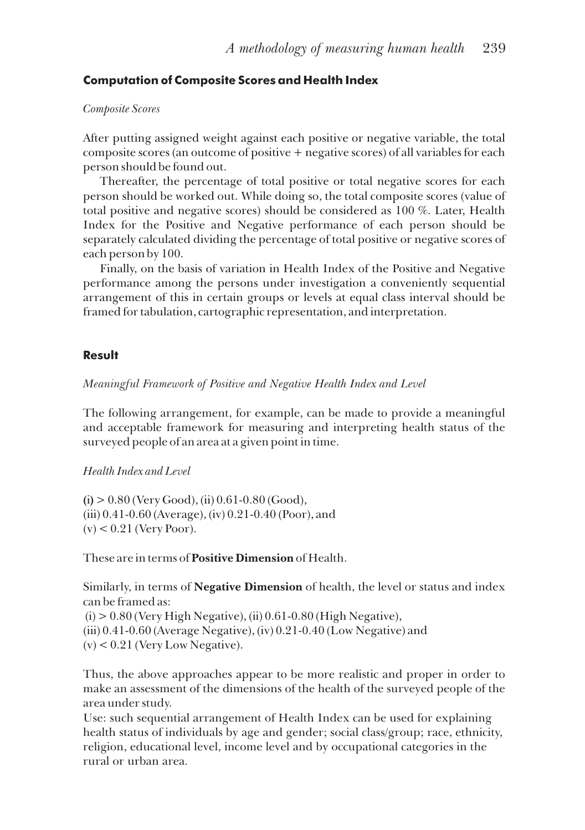# **Computation of Composite Scores and Health Index**

#### *Composite Scores*

After putting assigned weight against each positive or negative variable, the total composite scores (an outcome of positive + negative scores) of all variables for each person should be found out.

Thereafter, the percentage of total positive or total negative scores for each person should be worked out. While doing so, the total composite scores (value of total positive and negative scores) should be considered as 100 %. Later, Health Index for the Positive and Negative performance of each person should be separately calculated dividing the percentage of total positive or negative scores of each person by 100.

Finally, on the basis of variation in Health Index of the Positive and Negative performance among the persons under investigation a conveniently sequential arrangement of this in certain groups or levels at equal class interval should be framed for tabulation, cartographic representation, and interpretation.

# **Result**

*Meaningful Framework of Positive and Negative Health Index and Level*

The following arrangement, for example, can be made to provide a meaningful and acceptable framework for measuring and interpreting health status of the surveyed people of an area at a given point in time.

# *Health Index and Level*

**(**i**)** > 0.80 (Very Good), (ii) 0.61-0.80 (Good), (iii) 0.41-0.60 (Average), (iv) 0.21-0.40 (Poor), and  $(v)$  < 0.21 (Very Poor).

These are in terms of **Positive Dimension** of Health.

Similarly, in terms of **Negative Dimension** of health, the level or status and index can be framed as:

 $(i) > 0.80$  (Very High Negative),  $(ii)$  0.61-0.80 (High Negative), (iii) 0.41-0.60 (Average Negative), (iv) 0.21-0.40 (Low Negative) and  $(v)$  < 0.21 (Very Low Negative).

Thus, the above approaches appear to be more realistic and proper in order to make an assessment of the dimensions of the health of the surveyed people of the area under study.

Use: such sequential arrangement of Health Index can be used for explaining health status of individuals by age and gender; social class/group; race, ethnicity, religion, educational level, income level and by occupational categories in the rural or urban area.